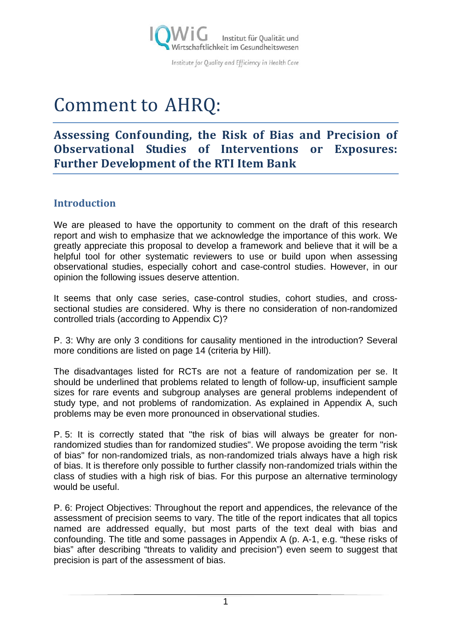

Institute for Quality and Efficiency in Health Care

# Comment to AHRQ:

## **Assessing Confounding, the Risk of Bias and Precision of Observational Studies of Interventions or Exposures: Further Development of the RTI Item Bank**

## **Introduction**

We are pleased to have the opportunity to comment on the draft of this research report and wish to emphasize that we acknowledge the importance of this work. We greatly appreciate this proposal to develop a framework and believe that it will be a helpful tool for other systematic reviewers to use or build upon when assessing observational studies, especially cohort and case-control studies. However, in our opinion the following issues deserve attention.

It seems that only case series, case-control studies, cohort studies, and crosssectional studies are considered. Why is there no consideration of non-randomized controlled trials (according to Appendix C)?

P. 3: Why are only 3 conditions for causality mentioned in the introduction? Several more conditions are listed on page 14 (criteria by Hill).

The disadvantages listed for RCTs are not a feature of randomization per se. It should be underlined that problems related to length of follow-up, insufficient sample sizes for rare events and subgroup analyses are general problems independent of study type, and not problems of randomization. As explained in Appendix A, such problems may be even more pronounced in observational studies.

P. 5: It is correctly stated that "the risk of bias will always be greater for nonrandomized studies than for randomized studies". We propose avoiding the term "risk of bias" for non-randomized trials, as non-randomized trials always have a high risk of bias. It is therefore only possible to further classify non-randomized trials within the class of studies with a high risk of bias. For this purpose an alternative terminology would be useful.

P. 6: Project Objectives: Throughout the report and appendices, the relevance of the assessment of precision seems to vary. The title of the report indicates that all topics named are addressed equally, but most parts of the text deal with bias and confounding. The title and some passages in Appendix A (p. A-1, e.g. "these risks of bias" after describing "threats to validity and precision") even seem to suggest that precision is part of the assessment of bias.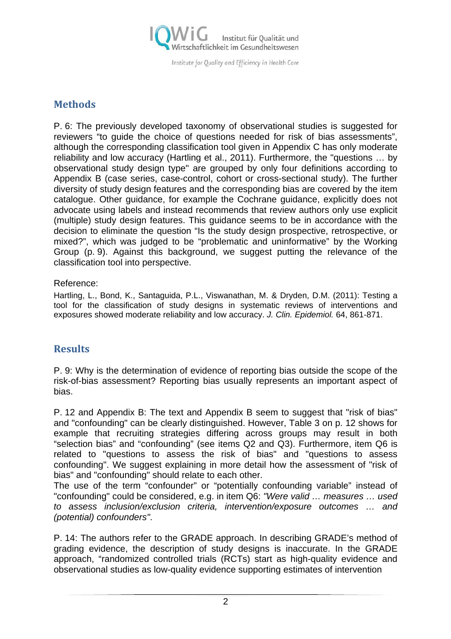

Institute for Quality and Efficiency in Health Care

## **Methods**

P. 6: The previously developed taxonomy of observational studies is suggested for reviewers "to guide the choice of questions needed for risk of bias assessments", although the corresponding classification tool given in Appendix C has only moderate reliability and low accuracy (Hartling et al., 2011). Furthermore, the "questions … by observational study design type" are grouped by only four definitions according to Appendix B (case series, case-control, cohort or cross-sectional study). The further diversity of study design features and the corresponding bias are covered by the item catalogue. Other guidance, for example the Cochrane guidance, explicitly does not advocate using labels and instead recommends that review authors only use explicit (multiple) study design features. This guidance seems to be in accordance with the decision to eliminate the question "Is the study design prospective, retrospective, or mixed?", which was judged to be "problematic and uninformative" by the Working Group (p. 9). Against this background, we suggest putting the relevance of the classification tool into perspective.

#### Reference:

Hartling, L., Bond, K., Santaguida, P.L., Viswanathan, M. & Dryden, D.M. (2011): Testing a tool for the classification of study designs in systematic reviews of interventions and exposures showed moderate reliability and low accuracy. *J. Clin. Epidemiol.* 64, 861-871.

## **Results**

P. 9: Why is the determination of evidence of reporting bias outside the scope of the risk-of-bias assessment? Reporting bias usually represents an important aspect of bias.

P. 12 and Appendix B: The text and Appendix B seem to suggest that "risk of bias" and "confounding" can be clearly distinguished. However, Table 3 on p. 12 shows for example that recruiting strategies differing across groups may result in both "selection bias" and "confounding" (see items Q2 and Q3). Furthermore, item Q6 is related to "questions to assess the risk of bias" and "questions to assess confounding". We suggest explaining in more detail how the assessment of "risk of bias" and "confounding" should relate to each other.

The use of the term "confounder" or "potentially confounding variable" instead of "confounding" could be considered, e.g. in item Q6: *"Were valid … measures … used to assess inclusion/exclusion criteria, intervention/exposure outcomes … and (potential) confounders"*.

P. 14: The authors refer to the GRADE approach. In describing GRADE's method of grading evidence, the description of study designs is inaccurate. In the GRADE approach, "randomized controlled trials (RCTs) start as high-quality evidence and observational studies as low-quality evidence supporting estimates of intervention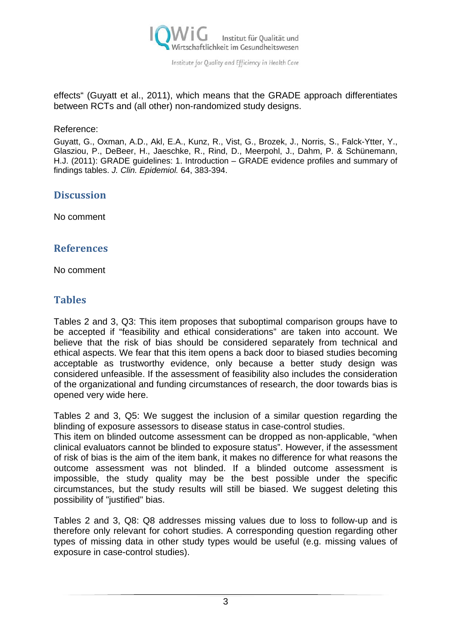

effects" (Guyatt et al., 2011), which means that the GRADE approach differentiates between RCTs and (all other) non-randomized study designs.

#### Reference:

Guyatt, G., Oxman, A.D., Akl, E.A., Kunz, R., Vist, G., Brozek, J., Norris, S., Falck-Ytter, Y., Glasziou, P., DeBeer, H., Jaeschke, R., Rind, D., Meerpohl, J., Dahm, P. & Schünemann, H.J. (2011): GRADE guidelines: 1. Introduction – GRADE evidence profiles and summary of findings tables. *J. Clin. Epidemiol.* 64, 383-394.

#### **Discussion**

No comment

### **References**

No comment

## **Tables**

Tables 2 and 3, Q3: This item proposes that suboptimal comparison groups have to be accepted if "feasibility and ethical considerations" are taken into account. We believe that the risk of bias should be considered separately from technical and ethical aspects. We fear that this item opens a back door to biased studies becoming acceptable as trustworthy evidence, only because a better study design was considered unfeasible. If the assessment of feasibility also includes the consideration of the organizational and funding circumstances of research, the door towards bias is opened very wide here.

Tables 2 and 3, Q5: We suggest the inclusion of a similar question regarding the blinding of exposure assessors to disease status in case-control studies.

This item on blinded outcome assessment can be dropped as non-applicable, "when clinical evaluators cannot be blinded to exposure status". However, if the assessment of risk of bias is the aim of the item bank, it makes no difference for what reasons the outcome assessment was not blinded. If a blinded outcome assessment is impossible, the study quality may be the best possible under the specific circumstances, but the study results will still be biased. We suggest deleting this possibility of "justified" bias.

Tables 2 and 3, Q8: Q8 addresses missing values due to loss to follow-up and is therefore only relevant for cohort studies. A corresponding question regarding other types of missing data in other study types would be useful (e.g. missing values of exposure in case-control studies).